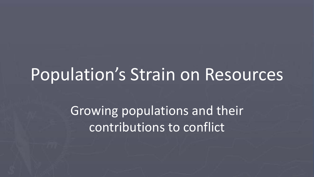#### Population's Strain on Resources

Growing populations and their contributions to conflict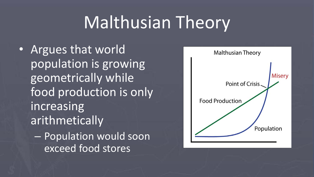# Malthusian Theory

• Argues that world population is growing geometrically while food production is only increasing arithmetically – Population would soon exceed food stores

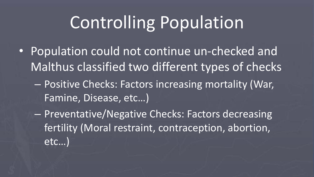## Controlling Population

- Population could not continue un-checked and Malthus classified two different types of checks
	- Positive Checks: Factors increasing mortality (War, Famine, Disease, etc…)
	- Preventative/Negative Checks: Factors decreasing fertility (Moral restraint, contraception, abortion, etc…)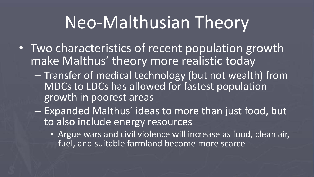# Neo-Malthusian Theory

- Two characteristics of recent population growth make Malthus' theory more realistic today
	- Transfer of medical technology (but not wealth) from MDCs to LDCs has allowed for fastest population growth in poorest areas
	- Expanded Malthus' ideas to more than just food, but to also include energy resources
		- Argue wars and civil violence will increase as food, clean air, fuel, and suitable farmland become more scarce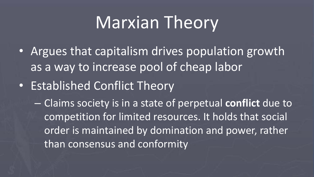# Marxian Theory

- Argues that capitalism drives population growth as a way to increase pool of cheap labor
- Established Conflict Theory

– Claims society is in a state of perpetual **conflict** due to competition for limited resources. It holds that social order is maintained by domination and power, rather than consensus and conformity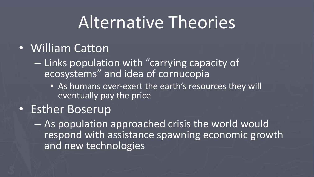### Alternative Theories

#### • William Catton

- Links population with "carrying capacity of ecosystems" and idea of cornucopia
	- As humans over-exert the earth's resources they will eventually pay the price
- Esther Boserup

– As population approached crisis the world would respond with assistance spawning economic growth and new technologies